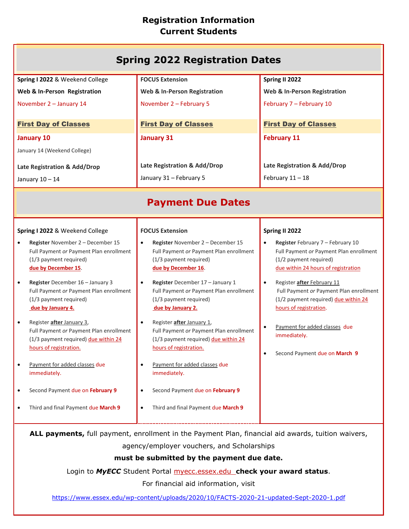# **Registration Information Current Students**

| <b>Spring 2022 Registration Dates</b>                                                                                                                                                                                                                                                                                                                                                                                                                                                                                                          |                                                                                                                                                                                                                                                                                                                                                                                                                                                                                                                                                                                            |                                                                                                                                                                                                                                                                                                                                                                            |  |
|------------------------------------------------------------------------------------------------------------------------------------------------------------------------------------------------------------------------------------------------------------------------------------------------------------------------------------------------------------------------------------------------------------------------------------------------------------------------------------------------------------------------------------------------|--------------------------------------------------------------------------------------------------------------------------------------------------------------------------------------------------------------------------------------------------------------------------------------------------------------------------------------------------------------------------------------------------------------------------------------------------------------------------------------------------------------------------------------------------------------------------------------------|----------------------------------------------------------------------------------------------------------------------------------------------------------------------------------------------------------------------------------------------------------------------------------------------------------------------------------------------------------------------------|--|
| Spring I 2022 & Weekend College                                                                                                                                                                                                                                                                                                                                                                                                                                                                                                                | <b>FOCUS Extension</b>                                                                                                                                                                                                                                                                                                                                                                                                                                                                                                                                                                     | Spring II 2022                                                                                                                                                                                                                                                                                                                                                             |  |
| Web & In-Person Registration                                                                                                                                                                                                                                                                                                                                                                                                                                                                                                                   | <b>Web &amp; In-Person Registration</b>                                                                                                                                                                                                                                                                                                                                                                                                                                                                                                                                                    | Web & In-Person Registration                                                                                                                                                                                                                                                                                                                                               |  |
| November 2 - January 14                                                                                                                                                                                                                                                                                                                                                                                                                                                                                                                        | November 2 - February 5                                                                                                                                                                                                                                                                                                                                                                                                                                                                                                                                                                    | February 7 - February 10                                                                                                                                                                                                                                                                                                                                                   |  |
| <b>First Day of Classes</b>                                                                                                                                                                                                                                                                                                                                                                                                                                                                                                                    | <b>First Day of Classes</b>                                                                                                                                                                                                                                                                                                                                                                                                                                                                                                                                                                | <b>First Day of Classes</b>                                                                                                                                                                                                                                                                                                                                                |  |
| <b>January 10</b>                                                                                                                                                                                                                                                                                                                                                                                                                                                                                                                              | <b>January 31</b>                                                                                                                                                                                                                                                                                                                                                                                                                                                                                                                                                                          | <b>February 11</b>                                                                                                                                                                                                                                                                                                                                                         |  |
| January 14 (Weekend College)                                                                                                                                                                                                                                                                                                                                                                                                                                                                                                                   |                                                                                                                                                                                                                                                                                                                                                                                                                                                                                                                                                                                            |                                                                                                                                                                                                                                                                                                                                                                            |  |
| Late Registration & Add/Drop                                                                                                                                                                                                                                                                                                                                                                                                                                                                                                                   | Late Registration & Add/Drop                                                                                                                                                                                                                                                                                                                                                                                                                                                                                                                                                               | Late Registration & Add/Drop                                                                                                                                                                                                                                                                                                                                               |  |
| January 10 - 14                                                                                                                                                                                                                                                                                                                                                                                                                                                                                                                                | January 31 - February 5                                                                                                                                                                                                                                                                                                                                                                                                                                                                                                                                                                    | February $11 - 18$                                                                                                                                                                                                                                                                                                                                                         |  |
| <b>Payment Due Dates</b>                                                                                                                                                                                                                                                                                                                                                                                                                                                                                                                       |                                                                                                                                                                                                                                                                                                                                                                                                                                                                                                                                                                                            |                                                                                                                                                                                                                                                                                                                                                                            |  |
| Spring I 2022 & Weekend College                                                                                                                                                                                                                                                                                                                                                                                                                                                                                                                | <b>FOCUS Extension</b>                                                                                                                                                                                                                                                                                                                                                                                                                                                                                                                                                                     | Spring II 2022                                                                                                                                                                                                                                                                                                                                                             |  |
| Register November 2 - December 15<br>Full Payment or Payment Plan enrollment<br>(1/3 payment required)<br>due by December 15.<br>Register December 16 - January 3<br>Full Payment or Payment Plan enrollment<br>(1/3 payment required)<br>due by January 4.<br>Register after January 3,<br>$\bullet$<br>Full Payment or Payment Plan enrollment<br>(1/3 payment required) due within 24<br>hours of registration.<br>Payment for added classes due<br>immediately.<br>Second Payment due on February 9<br>Third and final Payment due March 9 | Register November 2 - December 15<br>$\bullet$<br>Full Payment or Payment Plan enrollment<br>(1/3 payment required)<br>due by December 16.<br>Register December 17 - January 1<br>$\bullet$<br>Full Payment or Payment Plan enrollment<br>(1/3 payment required)<br>due by January 2.<br>Register after January 1,<br>$\bullet$<br>Full Payment or Payment Plan enrollment<br>(1/3 payment required) due within 24<br>hours of registration.<br>Payment for added classes due<br>$\bullet$<br>immediately.<br>Second Payment due on February 9<br>٠<br>Third and final Payment due March 9 | Register February 7 - February 10<br>Full Payment or Payment Plan enrollment<br>(1/2 payment required)<br>due within 24 hours of registration<br>Register after February 11<br>Full Payment or Payment Plan enrollment<br>(1/2 payment required) due within 24<br>hours of registration.<br>Payment for added classes due<br>immediately.<br>Second Payment due on March 9 |  |
|                                                                                                                                                                                                                                                                                                                                                                                                                                                                                                                                                |                                                                                                                                                                                                                                                                                                                                                                                                                                                                                                                                                                                            |                                                                                                                                                                                                                                                                                                                                                                            |  |
| ALL payments, full payment, enrollment in the Payment Plan, financial aid awards, tuition waivers,<br>agency/employer vouchers, and Scholarships                                                                                                                                                                                                                                                                                                                                                                                               |                                                                                                                                                                                                                                                                                                                                                                                                                                                                                                                                                                                            |                                                                                                                                                                                                                                                                                                                                                                            |  |
| must be submitted by the payment due date.                                                                                                                                                                                                                                                                                                                                                                                                                                                                                                     |                                                                                                                                                                                                                                                                                                                                                                                                                                                                                                                                                                                            |                                                                                                                                                                                                                                                                                                                                                                            |  |
| Login to MyECC Student Portal myecc.essex.edu_check your award status.                                                                                                                                                                                                                                                                                                                                                                                                                                                                         |                                                                                                                                                                                                                                                                                                                                                                                                                                                                                                                                                                                            |                                                                                                                                                                                                                                                                                                                                                                            |  |
| For financial aid information, visit                                                                                                                                                                                                                                                                                                                                                                                                                                                                                                           |                                                                                                                                                                                                                                                                                                                                                                                                                                                                                                                                                                                            |                                                                                                                                                                                                                                                                                                                                                                            |  |

<https://www.essex.edu/wp-content/uploads/2020/10/FACTS-2020-21-updated-Sept-2020-1.pdf>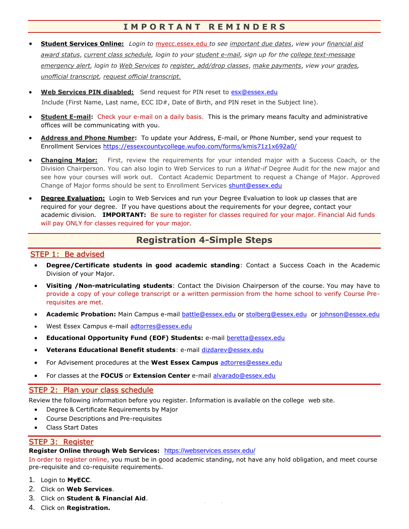### **I M P O R T A N T R E M I N D E R S**

- **Student Services Online:** *Login to* [myecc.essex.edu](http://myecc.essex.edu/) *to see important due dates*, *view your financial aid award status*, *current class schedule, login to your student e-mail, sign up for the college text-message emergency alert, login to Web Services to register, add/drop classes*, *make payments*, *view your grades, unofficial transcript, request official transcript.*
- **Web Services PIN disabled:** Send request for PIN reset to [esx@essex.edu](mailto:esx@essex.edu) Include (First Name, Last name, ECC ID#, Date of Birth, and PIN reset in the Subject line).
- **Student E-mail:** Check your e-mail on a daily basis. This is the primary means faculty and administrative offices will be communicating with you.
- **Address and Phone Number:** To update your Address, E-mail, or Phone Number, send your request to Enrollment Services<https://essexcountycollege.wufoo.com/forms/kmis71z1x692a0/>
- **Changing Major:** First, review the requirements for your intended major with a Success Coach, or the Division Chairperson. You can also login to Web Services to run a *What-if* Degree Audit for the new major and see how your courses will work out. Contact Academic Department to request a Change of Major. Approved Change of Major forms should be sent to Enrollment Services [shunt@essex.edu](mailto:shunt@essex.edu)
- **Degree Evaluation:** Login to Web Services and run your Degree Evaluation to look up classes that are required for your degree. If you have questions about the requirements for your degree, contact your academic division. **IMPORTANT:** Be sure to register for classes required for your major. Financial Aid funds will pay ONLY for classes required for your major.

## **Registration 4-Simple Steps**

#### STEP 1: Be advised

- **Degree/Certificate students in good academic standing**: Contact a Success Coach in the Academic Division of your Major.
- **Visiting /Non-matriculating students**: Contact the Division Chairperson of the course. You may have to provide a copy of your college transcript or a written permission from the home school to verify Course Prerequisites are met.
- **Academic Probation:** Main Campus e-mail [battle@essex.edu](mailto:battle@essex.edu) or [stolberg@essex.edu](mailto:stolberg@essex.edu) or [johnson@essex.edu](mailto:johnson@essex.edu)
- West Essex Campus e-mail [adtorres@essex.edu](mailto:adtorres@essex.edu)
- **Educational Opportunity Fund (EOF) Students:** e-mail [beretta@essex.edu](mailto:beretta@essex.edu)
- **Veterans Educational Benefit students**: e-mail [dizdarev@essex.edu](mailto:dizdarev@essex.edu)
- For Advisement procedures at the **West Essex Campus** [adtorres@essex.edu](mailto:adtorres@essex.edu)
- For classes at the **FOCUS** or **Extension Center** e-mail [alvarado@essex.edu](mailto:alvarado@essex.edu)

#### STEP 2: Plan your class schedule

Review the following information before you register. Information is available on the college web site.

- Degree & Certificate Requirements by Major
- Course Descriptions and Pre-requisites
- Class Start Dates

#### STEP 3: Register

#### **Register Online through Web Services:** <https://webservices.essex.edu/>

In order to register online, you must be in good academic standing, not have any hold obligation, and meet course pre-requisite and co-requisite requirements.

- 1. Login to **MyECC**.
- 2. Click on **Web Services**.
- 3. Click on **Student & Financial Aid**.
- 4. Click on **Registration.**